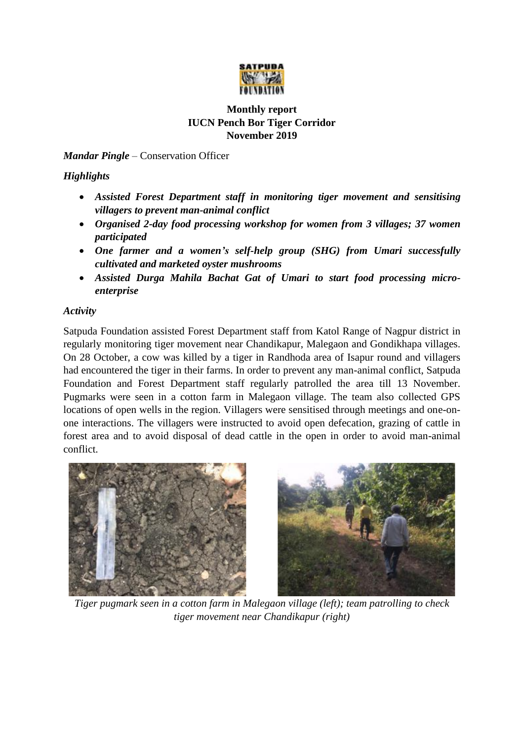

## **Monthly report IUCN Pench Bor Tiger Corridor November 2019**

*Mandar Pingle* – Conservation Officer

## *Highlights*

- *Assisted Forest Department staff in monitoring tiger movement and sensitising villagers to prevent man-animal conflict*
- *Organised 2-day food processing workshop for women from 3 villages; 37 women participated*
- *One farmer and a women's self-help group (SHG) from Umari successfully cultivated and marketed oyster mushrooms*
- *Assisted Durga Mahila Bachat Gat of Umari to start food processing microenterprise*

## *Activity*

Satpuda Foundation assisted Forest Department staff from Katol Range of Nagpur district in regularly monitoring tiger movement near Chandikapur, Malegaon and Gondikhapa villages. On 28 October, a cow was killed by a tiger in Randhoda area of Isapur round and villagers had encountered the tiger in their farms. In order to prevent any man-animal conflict, Satpuda Foundation and Forest Department staff regularly patrolled the area till 13 November. Pugmarks were seen in a cotton farm in Malegaon village. The team also collected GPS locations of open wells in the region. Villagers were sensitised through meetings and one-onone interactions. The villagers were instructed to avoid open defecation, grazing of cattle in forest area and to avoid disposal of dead cattle in the open in order to avoid man-animal conflict.



*Tiger pugmark seen in a cotton farm in Malegaon village (left); team patrolling to check tiger movement near Chandikapur (right)*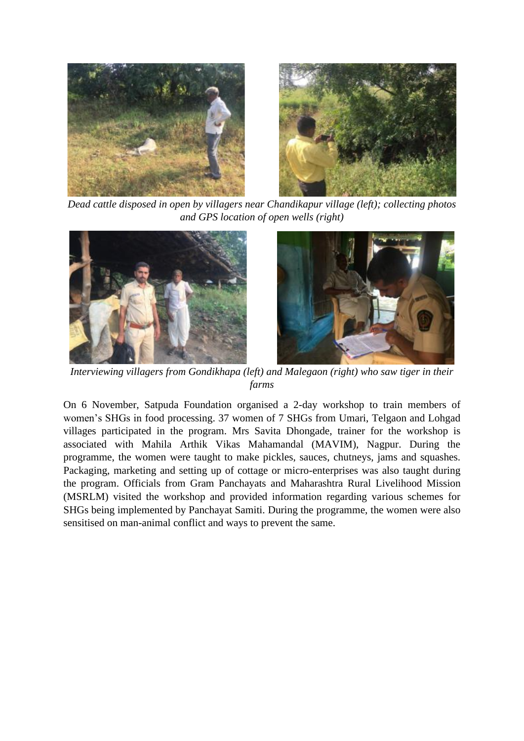

*Dead cattle disposed in open by villagers near Chandikapur village (left); collecting photos and GPS location of open wells (right)*





*Interviewing villagers from Gondikhapa (left) and Malegaon (right) who saw tiger in their farms*

On 6 November, Satpuda Foundation organised a 2-day workshop to train members of women's SHGs in food processing. 37 women of 7 SHGs from Umari, Telgaon and Lohgad villages participated in the program. Mrs Savita Dhongade, trainer for the workshop is associated with Mahila Arthik Vikas Mahamandal (MAVIM), Nagpur. During the programme, the women were taught to make pickles, sauces, chutneys, jams and squashes. Packaging, marketing and setting up of cottage or micro-enterprises was also taught during the program. Officials from Gram Panchayats and Maharashtra Rural Livelihood Mission (MSRLM) visited the workshop and provided information regarding various schemes for SHGs being implemented by Panchayat Samiti. During the programme, the women were also sensitised on man-animal conflict and ways to prevent the same.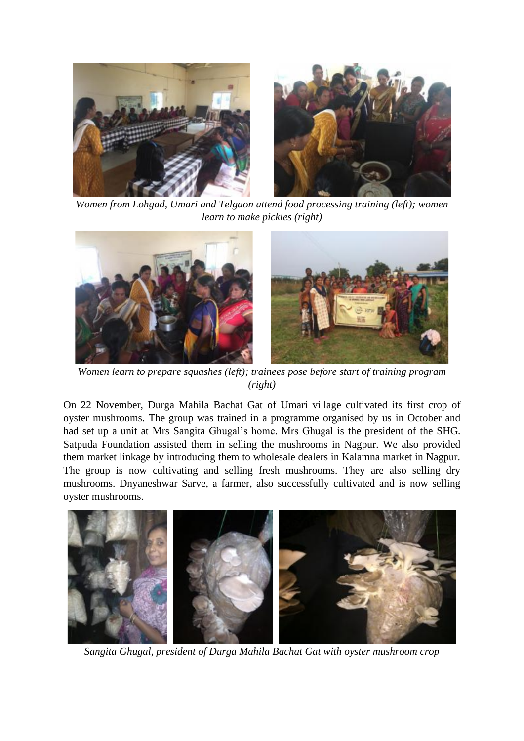

*Women from Lohgad, Umari and Telgaon attend food processing training (left); women learn to make pickles (right)*



*Women learn to prepare squashes (left); trainees pose before start of training program (right)*

On 22 November, Durga Mahila Bachat Gat of Umari village cultivated its first crop of oyster mushrooms. The group was trained in a programme organised by us in October and had set up a unit at Mrs Sangita Ghugal's home. Mrs Ghugal is the president of the SHG. Satpuda Foundation assisted them in selling the mushrooms in Nagpur. We also provided them market linkage by introducing them to wholesale dealers in Kalamna market in Nagpur. The group is now cultivating and selling fresh mushrooms. They are also selling dry mushrooms. Dnyaneshwar Sarve, a farmer, also successfully cultivated and is now selling oyster mushrooms.



*Sangita Ghugal, president of Durga Mahila Bachat Gat with oyster mushroom crop*